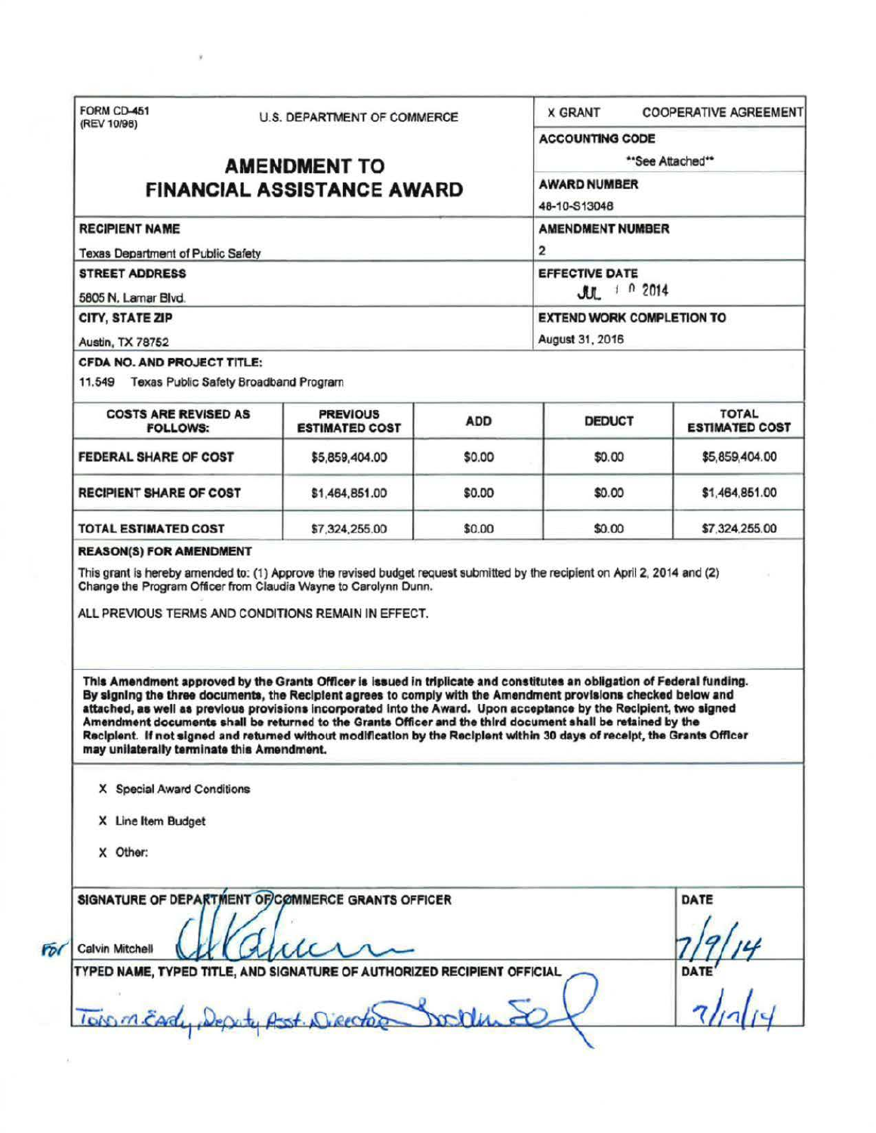| **See Attached**<br><b>AMENDMENT TO</b><br><b>AWARD NUMBER</b><br><b>FINANCIAL ASSISTANCE AWARD</b><br>48-10-S13048<br><b>RECIPIENT NAME</b><br><b>AMENDMENT NUMBER</b><br>$\overline{2}$<br><b>Texas Department of Public Safety</b><br><b>EFFECTIVE DATE</b><br><b>STREET ADDRESS</b><br>$J_{U}$ $102014$<br>5805 N. Lamar Blvd.<br>CITY, STATE ZIP<br><b>EXTEND WORK COMPLETION TO</b><br>August 31, 2016<br>Austin, TX 78752<br>CFDA NO. AND PROJECT TITLE:<br>11.549 Texas Public Safety Broadband Program<br><b>TOTAL</b><br><b>COSTS ARE REVISED AS</b><br><b>PREVIOUS</b><br><b>ADD</b><br><b>DEDUCT</b><br><b>ESTIMATED COST</b><br><b>FOLLOWS:</b><br><b>FEDERAL SHARE OF COST</b><br>\$0.00<br>\$0.00<br>\$5,859,404.00<br>\$5,859,404.00<br><b>RECIPIENT SHARE OF COST</b><br>\$1,464,851.00<br>\$0.00<br>\$0.00<br>\$1,464,851.00<br><b>TOTAL ESTIMATED COST</b><br>\$0.00<br>\$7,324,255.00<br>\$7,324,255.00<br>\$0.00<br><b>REASON(S) FOR AMENDMENT</b><br>This grant is hereby amended to: (1) Approve the revised budget request submitted by the recipient on April 2, 2014 and (2)<br>Change the Program Officer from Claudia Wayne to Carolynn Dunn.<br>ALL PREVIOUS TERMS AND CONDITIONS REMAIN IN EFFECT.<br>This Amendment approved by the Grants Officer is issued in triplicate and constitutes an obligation of Federal funding.<br>By signing the three documents, the Recipient agrees to comply with the Amendment provisions checked below and<br>attached, as well as previous provisions incorporated into the Award. Upon acceptance by the Recipient, two signed<br>Amendment documents shall be returned to the Grants Officer and the third document shall be retained by the<br>Recipient. If not signed and returned without modification by the Recipient within 30 days of receipt, the Grants Officer<br>may unilaterally terminate this Amendment. | (REV 10/98)                |  | U.S. DEPARTMENT OF COMMERCE |  | <b>X GRANT</b><br><b>ACCOUNTING CODE</b> | <b>COOPERATIVE AGREEMENT</b> |
|-----------------------------------------------------------------------------------------------------------------------------------------------------------------------------------------------------------------------------------------------------------------------------------------------------------------------------------------------------------------------------------------------------------------------------------------------------------------------------------------------------------------------------------------------------------------------------------------------------------------------------------------------------------------------------------------------------------------------------------------------------------------------------------------------------------------------------------------------------------------------------------------------------------------------------------------------------------------------------------------------------------------------------------------------------------------------------------------------------------------------------------------------------------------------------------------------------------------------------------------------------------------------------------------------------------------------------------------------------------------------------------------------------------------------------------------------------------------------------------------------------------------------------------------------------------------------------------------------------------------------------------------------------------------------------------------------------------------------------------------------------------------------------------------------------------------------------------------------------------------------------------------------|----------------------------|--|-----------------------------|--|------------------------------------------|------------------------------|
|                                                                                                                                                                                                                                                                                                                                                                                                                                                                                                                                                                                                                                                                                                                                                                                                                                                                                                                                                                                                                                                                                                                                                                                                                                                                                                                                                                                                                                                                                                                                                                                                                                                                                                                                                                                                                                                                                               |                            |  |                             |  |                                          |                              |
|                                                                                                                                                                                                                                                                                                                                                                                                                                                                                                                                                                                                                                                                                                                                                                                                                                                                                                                                                                                                                                                                                                                                                                                                                                                                                                                                                                                                                                                                                                                                                                                                                                                                                                                                                                                                                                                                                               |                            |  |                             |  |                                          |                              |
|                                                                                                                                                                                                                                                                                                                                                                                                                                                                                                                                                                                                                                                                                                                                                                                                                                                                                                                                                                                                                                                                                                                                                                                                                                                                                                                                                                                                                                                                                                                                                                                                                                                                                                                                                                                                                                                                                               |                            |  |                             |  |                                          |                              |
|                                                                                                                                                                                                                                                                                                                                                                                                                                                                                                                                                                                                                                                                                                                                                                                                                                                                                                                                                                                                                                                                                                                                                                                                                                                                                                                                                                                                                                                                                                                                                                                                                                                                                                                                                                                                                                                                                               |                            |  |                             |  |                                          |                              |
|                                                                                                                                                                                                                                                                                                                                                                                                                                                                                                                                                                                                                                                                                                                                                                                                                                                                                                                                                                                                                                                                                                                                                                                                                                                                                                                                                                                                                                                                                                                                                                                                                                                                                                                                                                                                                                                                                               |                            |  |                             |  |                                          |                              |
|                                                                                                                                                                                                                                                                                                                                                                                                                                                                                                                                                                                                                                                                                                                                                                                                                                                                                                                                                                                                                                                                                                                                                                                                                                                                                                                                                                                                                                                                                                                                                                                                                                                                                                                                                                                                                                                                                               |                            |  |                             |  |                                          |                              |
|                                                                                                                                                                                                                                                                                                                                                                                                                                                                                                                                                                                                                                                                                                                                                                                                                                                                                                                                                                                                                                                                                                                                                                                                                                                                                                                                                                                                                                                                                                                                                                                                                                                                                                                                                                                                                                                                                               |                            |  |                             |  |                                          |                              |
|                                                                                                                                                                                                                                                                                                                                                                                                                                                                                                                                                                                                                                                                                                                                                                                                                                                                                                                                                                                                                                                                                                                                                                                                                                                                                                                                                                                                                                                                                                                                                                                                                                                                                                                                                                                                                                                                                               |                            |  |                             |  |                                          |                              |
|                                                                                                                                                                                                                                                                                                                                                                                                                                                                                                                                                                                                                                                                                                                                                                                                                                                                                                                                                                                                                                                                                                                                                                                                                                                                                                                                                                                                                                                                                                                                                                                                                                                                                                                                                                                                                                                                                               |                            |  |                             |  |                                          |                              |
|                                                                                                                                                                                                                                                                                                                                                                                                                                                                                                                                                                                                                                                                                                                                                                                                                                                                                                                                                                                                                                                                                                                                                                                                                                                                                                                                                                                                                                                                                                                                                                                                                                                                                                                                                                                                                                                                                               |                            |  |                             |  |                                          |                              |
|                                                                                                                                                                                                                                                                                                                                                                                                                                                                                                                                                                                                                                                                                                                                                                                                                                                                                                                                                                                                                                                                                                                                                                                                                                                                                                                                                                                                                                                                                                                                                                                                                                                                                                                                                                                                                                                                                               |                            |  |                             |  |                                          | <b>ESTIMATED COST</b>        |
|                                                                                                                                                                                                                                                                                                                                                                                                                                                                                                                                                                                                                                                                                                                                                                                                                                                                                                                                                                                                                                                                                                                                                                                                                                                                                                                                                                                                                                                                                                                                                                                                                                                                                                                                                                                                                                                                                               |                            |  |                             |  |                                          |                              |
|                                                                                                                                                                                                                                                                                                                                                                                                                                                                                                                                                                                                                                                                                                                                                                                                                                                                                                                                                                                                                                                                                                                                                                                                                                                                                                                                                                                                                                                                                                                                                                                                                                                                                                                                                                                                                                                                                               |                            |  |                             |  |                                          |                              |
|                                                                                                                                                                                                                                                                                                                                                                                                                                                                                                                                                                                                                                                                                                                                                                                                                                                                                                                                                                                                                                                                                                                                                                                                                                                                                                                                                                                                                                                                                                                                                                                                                                                                                                                                                                                                                                                                                               |                            |  |                             |  |                                          |                              |
|                                                                                                                                                                                                                                                                                                                                                                                                                                                                                                                                                                                                                                                                                                                                                                                                                                                                                                                                                                                                                                                                                                                                                                                                                                                                                                                                                                                                                                                                                                                                                                                                                                                                                                                                                                                                                                                                                               |                            |  |                             |  |                                          |                              |
|                                                                                                                                                                                                                                                                                                                                                                                                                                                                                                                                                                                                                                                                                                                                                                                                                                                                                                                                                                                                                                                                                                                                                                                                                                                                                                                                                                                                                                                                                                                                                                                                                                                                                                                                                                                                                                                                                               | X Special Award Conditions |  |                             |  |                                          |                              |
|                                                                                                                                                                                                                                                                                                                                                                                                                                                                                                                                                                                                                                                                                                                                                                                                                                                                                                                                                                                                                                                                                                                                                                                                                                                                                                                                                                                                                                                                                                                                                                                                                                                                                                                                                                                                                                                                                               |                            |  |                             |  |                                          |                              |
| X Line Item Budget                                                                                                                                                                                                                                                                                                                                                                                                                                                                                                                                                                                                                                                                                                                                                                                                                                                                                                                                                                                                                                                                                                                                                                                                                                                                                                                                                                                                                                                                                                                                                                                                                                                                                                                                                                                                                                                                            |                            |  |                             |  |                                          |                              |
| X Other:                                                                                                                                                                                                                                                                                                                                                                                                                                                                                                                                                                                                                                                                                                                                                                                                                                                                                                                                                                                                                                                                                                                                                                                                                                                                                                                                                                                                                                                                                                                                                                                                                                                                                                                                                                                                                                                                                      |                            |  |                             |  |                                          |                              |
| SIGNATURE OF DEPARTMENT OF COMMERCE GRANTS OFFICER<br>DATE<br>Calvin Mitchell                                                                                                                                                                                                                                                                                                                                                                                                                                                                                                                                                                                                                                                                                                                                                                                                                                                                                                                                                                                                                                                                                                                                                                                                                                                                                                                                                                                                                                                                                                                                                                                                                                                                                                                                                                                                                 |                            |  |                             |  |                                          |                              |

 $\bar{y}$